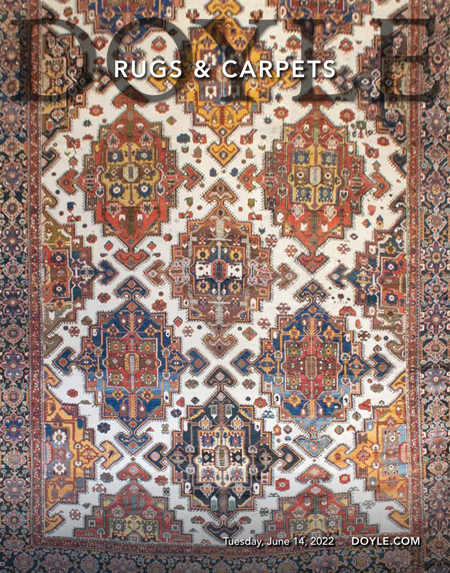## RUGS & CARPETS

 $\star$ 

Tuesday, June 14, 2022 DOYLE.COM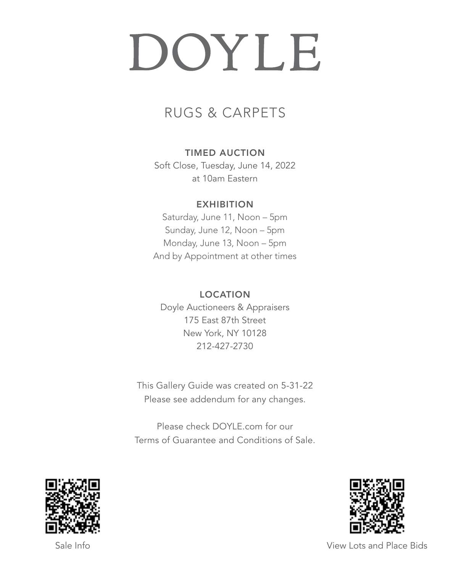# DOYLE

## RUGS & CARPETS

## TIMED AUCTION

Soft Close, Tuesday, June 14, 2022 at 10am Eastern

## **EXHIBITION**

Saturday, June 11, Noon – 5pm Sunday, June 12, Noon – 5pm Monday, June 13, Noon – 5pm And by Appointment at other times

## LOCATION

Doyle Auctioneers & Appraisers 175 East 87th Street New York, NY 10128 212-427-2730

This Gallery Guide was created on 5-31-22 Please see addendum for any changes.

Please check DOYLE.com for our Terms of Guarantee and Conditions of Sale.





Sale Info View Lots and Place Bids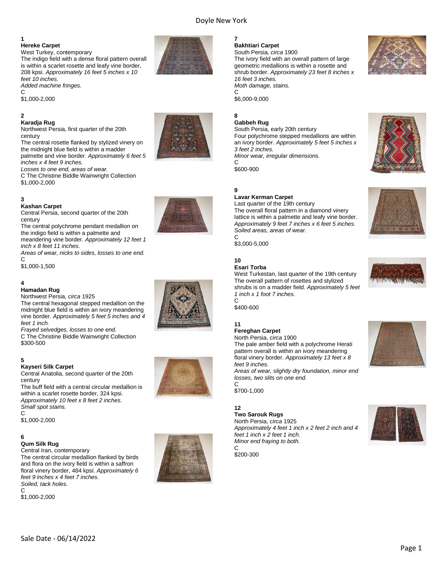#### Doyle New York

#### **1**

#### **Hereke Carpet**

West Turkey, contemporary The indigo field with a dense floral pattern overall is within a scarlet rosette and leafy vine border, 208 kpsi. *Approximately 16 feet 5 inches x 10 feet 10 inches.*

*Added machine fringes.*  $\mathsf{C}$ 

\$1,000-2,000

## **2**

**Karadja Rug**  Northwest Persia, first quarter of the 20th century

The central rosette flanked by stylized vinery on the midnight blue field is within a madder palmette and vine border. *Approximately 6 feet 5 inches x 4 feet 9 inches.*

*Losses to one end, areas of wear.*

C The Christine Biddle Wainwright Collection \$1,000-2,000

#### **3**

**Kashan Carpet** 

Central Persia, second quarter of the 20th century

The central polychrome pendant medallion on the indigo field is within a palmette and

meandering vine border. *Approximately 12 feet 1 inch x 8 feet 11 inches.*

*Areas of wear, nicks to sides, losses to one end.*  $\mathcal{C}$ 

\$1,000-1,500

#### **4**

#### **Hamadan Rug**

Northwest Persia, *circa* 1925

The central hexagonal stepped medallion on the midnight blue field is within an ivory meandering vine border. *Approximately 5 feet 5 inches and 4 feet 1 inch.*

*Frayed selvedges, losses to one end.* C The Christine Biddle Wainwright Collection \$300-500

#### **5**

#### **Kayseri Silk Carpet**

Central Anatolia, second quarter of the 20th century

The buff field with a central circular medallion is within a scarlet rosette border, 324 kpsi. *Approximately 10 feet x 8 feet 2 inches. Small spot stains.*  $\mathsf{C}$ 

\$1,000-2,000

#### **6**

#### **Qum Silk Rug**

Central Iran, contemporary The central circular medallion flanked by birds and flora on the ivory field is within a saffron floral vinery border, 484 kpsi. *Approximately 6 feet 9 inches x 4 feet 7 inches. Soiled, tack holes.*

C \$1,000-2,000













#### **7 Bakhtiari Carpet**

South Persia, *circa* 1900 The ivory field with an overall pattern of large geometric medallions is within a rosette and shrub border. *Approximately 23 feet 8 inches x 16 feet 3 inches. Moth damage, stains.* C

\$6,000-9,000

#### **8**

#### **Gabbeh Rug**

South Persia, early 20th century Four polychrome stepped medallions are within an ivory border. *Approximately 5 feet 5 inches x 3 feet 2 inches. Minor wear, irregular dimensions.*  $\overline{C}$ 

\$600-900

#### **9 Lavar Kerman Carpet**

Last quarter of the 19th century The overall floral pattern in a diamond vinery lattice is within a palmette and leafy vine border. *Approximately 9 feet 7 inches x 6 feet 5 inches. Soiled areas, areas of wear.* C

\$3,000-5,000

#### **10 Esari Torba**

West Turkestan, last quarter of the 19th century The overall pattern of rosettes and stylized shrubs is on a madder field. *Approximately 5 feet 1 inch x 1 foot 7 inches.*

 $\mathsf{C}$ \$400-600

#### **11 Fereghan Carpet**

North Persia, *circa* 1900 The pale amber field with a polychrome Herati pattern overall is within an ivory meandering floral vinery border. *Approximately 13 feet x 8 feet 9 inches.*

*Areas of wear, slightly dry foundation, minor end losses, two slits on one end.*  $\mathsf{C}$ 

\$700-1,000

#### **12**

**Two Sarouk Rugs**  North Persia, *circa* 1925 *Approximately 4 feet 1 inch x 2 feet 2 inch and 4 feet 1 inch x 2 feet 1 inch. Minor end fraying to both.*

\$200-300

 $\mathsf{C}$